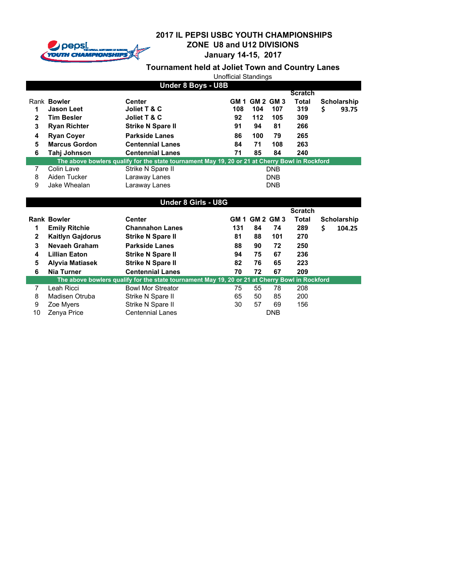

**January 14-15, 2017**

|              | <b>Unofficial Standings</b> |                                                                                                |      |                  |            |       |    |                    |  |  |
|--------------|-----------------------------|------------------------------------------------------------------------------------------------|------|------------------|------------|-------|----|--------------------|--|--|
|              | Under 8 Boys - U8B          |                                                                                                |      |                  |            |       |    |                    |  |  |
|              | <b>Scratch</b>              |                                                                                                |      |                  |            |       |    |                    |  |  |
|              | Rank Bowler                 | <b>Center</b>                                                                                  | GM 1 | <b>GM 2 GM 3</b> |            | Total |    | <b>Scholarship</b> |  |  |
|              | <b>Jason Leet</b>           | Joliet T & C                                                                                   | 108  | 104              | 107        | 319   | \$ | 93.75              |  |  |
| $\mathbf{2}$ | <b>Tim Besler</b>           | Joliet T & C                                                                                   | 92   | 112              | 105        | 309   |    |                    |  |  |
| 3            | <b>Ryan Richter</b>         | <b>Strike N Spare II</b>                                                                       | 91   | 94               | 81         | 266   |    |                    |  |  |
| 4            | <b>Ryan Coyer</b>           | <b>Parkside Lanes</b>                                                                          | 86   | 100              | 79         | 265   |    |                    |  |  |
| 5            | <b>Marcus Gordon</b>        | <b>Centennial Lanes</b>                                                                        | 84   | 71               | 108        | 263   |    |                    |  |  |
| 6            | Tahi Johnson                | <b>Centennial Lanes</b>                                                                        | 71   | 85               | 84         | 240   |    |                    |  |  |
|              |                             | The above bowlers qualify for the state tournament May 19, 20 or 21 at Cherry Bowl in Rockford |      |                  |            |       |    |                    |  |  |
| 7            | Colin Lave                  | Strike N Spare II                                                                              |      |                  | <b>DNB</b> |       |    |                    |  |  |
| 8            | Aiden Tucker                | Laraway Lanes                                                                                  |      |                  | <b>DNB</b> |       |    |                    |  |  |
| 9            | Jake Whealan                | Laraway Lanes                                                                                  |      |                  | <b>DNB</b> |       |    |                    |  |  |

| <b>Under 8 Girls - U8G</b> |                         |                                                                                                |     |                       |            |                |    |             |  |
|----------------------------|-------------------------|------------------------------------------------------------------------------------------------|-----|-----------------------|------------|----------------|----|-------------|--|
|                            |                         |                                                                                                |     |                       |            | <b>Scratch</b> |    |             |  |
|                            | <b>Rank Bowler</b>      | <b>Center</b>                                                                                  |     | <b>GM 1 GM 2 GM 3</b> |            | Total          |    | Scholarship |  |
| 1                          | <b>Emily Ritchie</b>    | <b>Channahon Lanes</b>                                                                         | 131 | 84                    | 74         | 289            | \$ | 104.25      |  |
| $\mathbf{2}$               | <b>Kaitlyn Gajdorus</b> | <b>Strike N Spare II</b>                                                                       | 81  | 88                    | 101        | 270            |    |             |  |
| 3                          | <b>Nevaeh Graham</b>    | <b>Parkside Lanes</b>                                                                          | 88  | 90                    | 72         | 250            |    |             |  |
| 4                          | <b>Lillian Eaton</b>    | <b>Strike N Spare II</b>                                                                       | 94  | 75                    | 67         | 236            |    |             |  |
| 5                          | <b>Alyvia Matiasek</b>  | <b>Strike N Spare II</b>                                                                       | 82  | 76                    | 65         | 223            |    |             |  |
| 6                          | <b>Nia Turner</b>       | <b>Centennial Lanes</b>                                                                        | 70  | 72                    | 67         | 209            |    |             |  |
|                            |                         | The above bowlers qualify for the state tournament May 19, 20 or 21 at Cherry Bowl in Rockford |     |                       |            |                |    |             |  |
| 7                          | Leah Ricci              | <b>Bowl Mor Streator</b>                                                                       | 75  | 55                    | 78         | 208            |    |             |  |
| 8                          | Madisen Otruba          | Strike N Spare II                                                                              | 65  | 50                    | 85         | 200            |    |             |  |
| 9                          | Zoe Myers               | Strike N Spare II                                                                              | 30  | 57                    | 69         | 156            |    |             |  |
| 10                         | Zenya Price             | <b>Centennial Lanes</b>                                                                        |     |                       | <b>DNB</b> |                |    |             |  |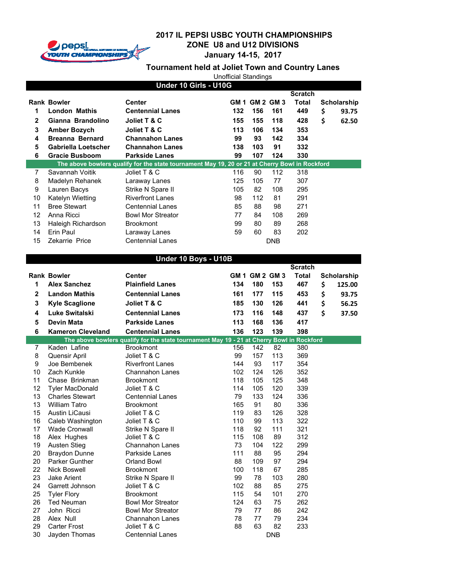

**January 14-15, 2017**

|                |                          |                                                                                                | <b>Unofficial Standings</b> |                |            |                |                    |
|----------------|--------------------------|------------------------------------------------------------------------------------------------|-----------------------------|----------------|------------|----------------|--------------------|
|                |                          | Under 10 Girls - U10G                                                                          |                             |                |            |                |                    |
|                |                          |                                                                                                |                             |                |            | <b>Scratch</b> |                    |
|                | <b>Rank Bowler</b>       | Center                                                                                         |                             | GM 1 GM 2 GM 3 |            | <b>Total</b>   | <b>Scholarship</b> |
| 1              | <b>London Mathis</b>     | <b>Centennial Lanes</b>                                                                        | 132                         | 156            | 161        | 449            | \$<br>93.75        |
| $\mathbf{2}$   | Gianna Brandolino        | Joliet T & C                                                                                   | 155                         | 155            | 118        | 428            | \$<br>62.50        |
| 3              | <b>Amber Bozych</b>      | Joliet T & C                                                                                   | 113                         | 106            | 134        | 353            |                    |
| 4              | <b>Breanna Bernard</b>   | <b>Channahon Lanes</b>                                                                         | 99                          | 93             | 142        | 334            |                    |
| 5              | Gabriella Loetscher      | <b>Channahon Lanes</b>                                                                         | 138                         | 103            | 91         | 332            |                    |
| 6              | <b>Gracie Busboom</b>    | <b>Parkside Lanes</b>                                                                          | 99                          | 107            | 124        | 330            |                    |
|                |                          | The above bowlers qualify for the state tournament May 19, 20 or 21 at Cherry Bowl in Rockford |                             |                |            |                |                    |
| $\overline{7}$ | Savannah Voitik          | Joliet T & C                                                                                   | 116                         | 90             | 112        | 318            |                    |
| 8              | Madelyn Rehanek          | Laraway Lanes                                                                                  | 125                         | 105            | 77         | 307            |                    |
| 9              | Lauren Bacys             | Strike N Spare II                                                                              | 105                         | 82             | 108        | 295            |                    |
| 10             | Katelyn Wietting         | <b>Riverfront Lanes</b>                                                                        | 98                          | 112            | 81         | 291            |                    |
| 11             | <b>Bree Stewart</b>      | <b>Centennial Lanes</b>                                                                        | 85                          | 88             | 98         | 271            |                    |
| 12             | Anna Ricci               | <b>Bowl Mor Streator</b>                                                                       | 77                          | 84             | 108        | 269            |                    |
| 13             | Haleigh Richardson       | <b>Brookmont</b>                                                                               | 99                          | 80             | 89         | 268            |                    |
| 14             | Erin Paul                | Laraway Lanes                                                                                  | 59                          | 60             | 83         | 202            |                    |
| 15             | Zekarrie Price           | <b>Centennial Lanes</b>                                                                        |                             |                | <b>DNB</b> |                |                    |
|                |                          |                                                                                                |                             |                |            |                |                    |
|                |                          | Under 10 Boys - U10B                                                                           |                             |                |            |                |                    |
|                |                          |                                                                                                |                             |                |            | <b>Scratch</b> |                    |
|                | <b>Rank Bowler</b>       | <b>Center</b>                                                                                  |                             | GM 1 GM 2 GM 3 |            | <b>Total</b>   | <b>Scholarship</b> |
| 1              | <b>Alex Sanchez</b>      | <b>Plainfield Lanes</b>                                                                        | 134                         | 180            | 153        | 467            | \$<br>125.00       |
| $\mathbf{2}$   | <b>Landon Mathis</b>     | <b>Centennial Lanes</b>                                                                        | 161                         | 177            | 115        | 453            | \$<br>93.75        |
| 3              | <b>Kyle Scaglione</b>    | Joliet T & C                                                                                   | 185                         | 130            | 126        | 441            | \$<br>56.25        |
| 4              | Luke Switalski           | <b>Centennial Lanes</b>                                                                        | 173                         | 116            | 148        | 437            | \$<br>37.50        |
| 5              | <b>Devin Mata</b>        | <b>Parkside Lanes</b>                                                                          | 113                         | 168            | 136        | 417            |                    |
| 6              | <b>Kameron Cleveland</b> | <b>Centennial Lanes</b>                                                                        | 136                         | 123            | 139        | 398            |                    |
|                |                          | The above bowlers qualify for the state tournament May 19 - 21 at Cherry Bowl in Rockford      |                             |                |            |                |                    |
| $\overline{7}$ | Kaden Lafine             | <b>Brookmont</b>                                                                               | 156                         | 142            | 82         | 380            |                    |
| 8              | Quensir April            | Joliet T & C                                                                                   | 99                          | 157            | 113        | 369            |                    |
| 9              | Joe Bembenek             | <b>Riverfront Lanes</b>                                                                        | 144                         | 93             | 117        | 354            |                    |
| 10             | Zach Kunkle              | <b>Channahon Lanes</b>                                                                         | 102                         | 124            | 126        | 352            |                    |

| ,  | Nauen Lanne            | DIUUNIIUIIL              | טטו | 14Z | 04         | oou |
|----|------------------------|--------------------------|-----|-----|------------|-----|
| 8  | Quensir April          | Joliet T & C             | 99  | 157 | 113        | 369 |
| 9  | Joe Bembenek           | <b>Riverfront Lanes</b>  | 144 | 93  | 117        | 354 |
| 10 | Zach Kunkle            | Channahon Lanes          | 102 | 124 | 126        | 352 |
| 11 | Chase Brinkman         | <b>Brookmont</b>         | 118 | 105 | 125        | 348 |
| 12 | <b>Tyler MacDonald</b> | Joliet T & C             | 114 | 105 | 120        | 339 |
| 13 | <b>Charles Stewart</b> | <b>Centennial Lanes</b>  | 79  | 133 | 124        | 336 |
| 13 | <b>William Tatro</b>   | <b>Brookmont</b>         | 165 | 91  | 80         | 336 |
| 15 | Austin LiCausi         | Joliet T & C             | 119 | 83  | 126        | 328 |
| 16 | Caleb Washington       | Joliet T & C             | 110 | 99  | 113        | 322 |
| 17 | <b>Wade Cronwall</b>   | Strike N Spare II        | 118 | 92  | 111        | 321 |
| 18 | Alex Hughes            | Joliet T & C             | 115 | 108 | 89         | 312 |
| 19 | Austen Stieg           | <b>Channahon Lanes</b>   | 73  | 104 | 122        | 299 |
| 20 | <b>Braydon Dunne</b>   | Parkside Lanes           | 111 | 88  | 95         | 294 |
| 20 | Parker Gunther         | Orland Bowl              | 88  | 109 | 97         | 294 |
| 22 | Nick Boswell           | <b>Brookmont</b>         | 100 | 118 | 67         | 285 |
| 23 | Jake Arient            | Strike N Spare II        | 99  | 78  | 103        | 280 |
| 24 | Garrett Johnson        | Joliet T & C             | 102 | 88  | 85         | 275 |
| 25 | <b>Tyler Flory</b>     | <b>Brookmont</b>         | 115 | 54  | 101        | 270 |
| 26 | <b>Ted Neuman</b>      | <b>Bowl Mor Streator</b> | 124 | 63  | 75         | 262 |
| 27 | John Ricci             | <b>Bowl Mor Streator</b> | 79  | 77  | 86         | 242 |
| 28 | Alex Null              | <b>Channahon Lanes</b>   | 78  | 77  | 79         | 234 |
| 29 | Carter Frost           | Joliet T & C             | 88  | 63  | 82         | 233 |
| 30 | Jayden Thomas          | <b>Centennial Lanes</b>  |     |     | <b>DNB</b> |     |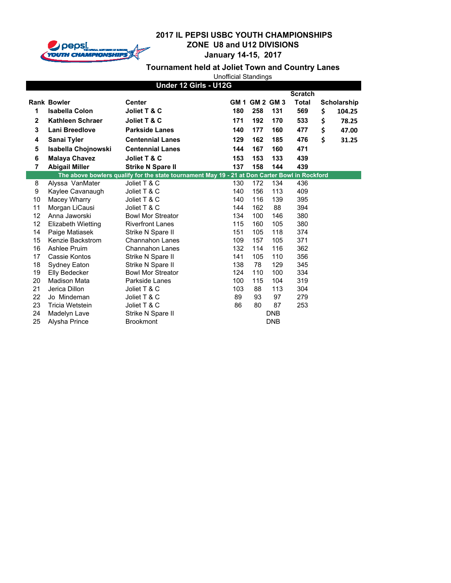

**January 14-15, 2017**

|                       |                         |                                                                                               | <b>Unofficial Standings</b> |                |            |                |    |                    |  |
|-----------------------|-------------------------|-----------------------------------------------------------------------------------------------|-----------------------------|----------------|------------|----------------|----|--------------------|--|
| Under 12 Girls - U12G |                         |                                                                                               |                             |                |            |                |    |                    |  |
|                       |                         |                                                                                               |                             |                |            | <b>Scratch</b> |    |                    |  |
|                       | <b>Rank Bowler</b>      | <b>Center</b>                                                                                 |                             | GM 1 GM 2 GM 3 |            | <b>Total</b>   |    | <b>Scholarship</b> |  |
| 1                     | <b>Isabella Colon</b>   | Joliet T & C                                                                                  | 180                         | 258            | 131        | 569            | \$ | 104.25             |  |
| $\mathbf{2}$          | <b>Kathleen Schraer</b> | Joliet T & C                                                                                  | 171                         | 192            | 170        | 533            | \$ | 78.25              |  |
| 3                     | Lani Breedlove          | <b>Parkside Lanes</b>                                                                         | 140                         | 177            | 160        | 477            | \$ | 47.00              |  |
| 4                     | Sanai Tyler             | <b>Centennial Lanes</b>                                                                       | 129                         | 162            | 185        | 476            | \$ | 31.25              |  |
| 5                     | Isabella Chojnowski     | <b>Centennial Lanes</b>                                                                       | 144                         | 167            | 160        | 471            |    |                    |  |
| 6                     | <b>Malaya Chavez</b>    | Joliet T & C                                                                                  | 153                         | 153            | 133        | 439            |    |                    |  |
| $\overline{7}$        | <b>Abigail Miller</b>   | <b>Strike N Spare II</b>                                                                      | 137                         | 158            | 144        | 439            |    |                    |  |
|                       |                         | The above bowlers qualify for the state tournament May 19 - 21 at Don Carter Bowl in Rockford |                             |                |            |                |    |                    |  |
| 8                     | Alyssa VanMater         | Joliet T & C                                                                                  | 130                         | 172            | 134        | 436            |    |                    |  |
| 9                     | Kaylee Cavanaugh        | Joliet T & C                                                                                  | 140                         | 156            | 113        | 409            |    |                    |  |
| 10                    | Macey Wharry            | Joliet T & C                                                                                  | 140                         | 116            | 139        | 395            |    |                    |  |
| 11                    | Morgan LiCausi          | Joliet T & C                                                                                  | 144                         | 162            | 88         | 394            |    |                    |  |
| 12                    | Anna Jaworski           | <b>Bowl Mor Streator</b>                                                                      | 134                         | 100            | 146        | 380            |    |                    |  |
| 12                    | Elizabeth Wietting      | <b>Riverfront Lanes</b>                                                                       | 115                         | 160            | 105        | 380            |    |                    |  |
| 14                    | Paige Matiasek          | Strike N Spare II                                                                             | 151                         | 105            | 118        | 374            |    |                    |  |
| 15                    | Kenzie Backstrom        | Channahon Lanes                                                                               | 109                         | 157            | 105        | 371            |    |                    |  |
| 16                    | Ashlee Pruim            | <b>Channahon Lanes</b>                                                                        | 132                         | 114            | 116        | 362            |    |                    |  |
| 17                    | Cassie Kontos           | Strike N Spare II                                                                             | 141                         | 105            | 110        | 356            |    |                    |  |
| 18                    | Sydney Eaton            | Strike N Spare II                                                                             | 138                         | 78             | 129        | 345            |    |                    |  |
| 19                    | Elly Bedecker           | <b>Bowl Mor Streator</b>                                                                      | 124                         | 110            | 100        | 334            |    |                    |  |
| 20                    | <b>Madison Mata</b>     | Parkside Lanes                                                                                | 100                         | 115            | 104        | 319            |    |                    |  |
| 21                    | Jerica Dillon           | Joliet T & C                                                                                  | 103                         | 88             | 113        | 304            |    |                    |  |
| 22                    | Jo Mindeman             | Joliet T & C                                                                                  | 89                          | 93             | 97         | 279            |    |                    |  |
| 23                    | Tricia Wetstein         | Joliet T & C                                                                                  | 86                          | 80             | 87         | 253            |    |                    |  |
| 24                    | Madelyn Lave            | Strike N Spare II                                                                             |                             |                | <b>DNB</b> |                |    |                    |  |
| 25                    | Alysha Prince           | <b>Brookmont</b>                                                                              |                             |                | <b>DNB</b> |                |    |                    |  |